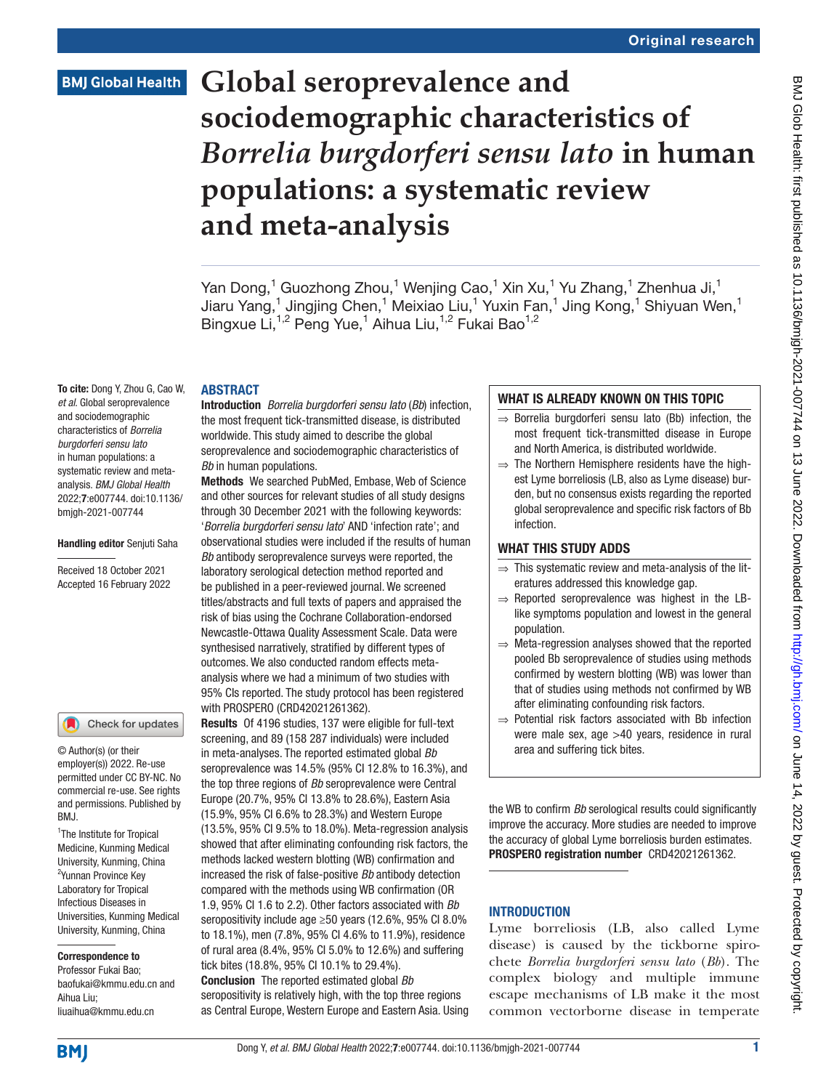# **Global seroprevalence and sociodemographic characteristics of**  *Borrelia burgdorferi sensu lato* **in human populations: a systematic review and meta-analysis**

Yan Dong,<sup>1</sup> Guozhong Zhou,<sup>1</sup> Wenjing Cao,<sup>1</sup> Xin Xu,<sup>1</sup> Yu Zhang,<sup>1</sup> Zhenhua Ji,<sup>1</sup> Jiaru Yang,<sup>1</sup> Jingjing Chen,<sup>1</sup> Meixiao Liu,<sup>1</sup> Yuxin Fan,<sup>1</sup> Jing Kong,<sup>1</sup> Shiyuan Wen,<sup>1</sup> Bingxue Li,<sup>1,2</sup> Peng Yue,<sup>1</sup> Aihua Liu,<sup>1,2</sup> Fukai Bao<sup>1,2</sup>

#### **ABSTRACT**

To cite: Dong Y, Zhou G, Cao W, *et al*. Global seroprevalence and sociodemographic characteristics of *Borrelia burgdorferi sensu lato* in human populations: a systematic review and metaanalysis. *BMJ Global Health* 2022;7:e007744. doi:10.1136/ bmjgh-2021-007744

#### Handling editor Senjuti Saha

Received 18 October 2021 Accepted 16 February 2022

#### Check for updates

© Author(s) (or their employer(s)) 2022. Re-use permitted under CC BY-NC. No commercial re-use. See rights and permissions. Published by RM<sub>J</sub>

<sup>1</sup>The Institute for Tropical Medicine, Kunming Medical University, Kunming, China <sup>2</sup>Yunnan Province Key Laboratory for Tropical Infectious Diseases in Universities, Kunming Medical University, Kunming, China

Correspondence to Professor Fukai Bao; baofukai@kmmu.edu.cn and Aihua Liu; liuaihua@kmmu.edu.cn

Introduction *Borrelia burgdorferi sensu lato* (*Bb*) infection, the most frequent tick-transmitted disease, is distributed worldwide. This study aimed to describe the global seroprevalence and sociodemographic characteristics of *Bb* in human populations.

Methods We searched PubMed, Embase, Web of Science and other sources for relevant studies of all study designs through 30 December 2021 with the following keywords: '*Borrelia burgdorferi sensu lato*' AND 'infection rate'; and observational studies were included if the results of human *Bb* antibody seroprevalence surveys were reported, the laboratory serological detection method reported and be published in a peer-reviewed journal. We screened titles/abstracts and full texts of papers and appraised the risk of bias using the Cochrane Collaboration-endorsed Newcastle-Ottawa Quality Assessment Scale. Data were synthesised narratively, stratified by different types of outcomes. We also conducted random effects metaanalysis where we had a minimum of two studies with 95% CIs reported. The study protocol has been registered with PROSPERO (CRD42021261362).

Results Of 4196 studies, 137 were eligible for full-text screening, and 89 (158 287 individuals) were included in meta-analyses. The reported estimated global *Bb* seroprevalence was 14.5% (95% CI 12.8% to 16.3%), and the top three regions of *Bb* seroprevalence were Central Europe (20.7%, 95% CI 13.8% to 28.6%), Eastern Asia (15.9%, 95% CI 6.6% to 28.3%) and Western Europe (13.5%, 95% CI 9.5% to 18.0%). Meta-regression analysis showed that after eliminating confounding risk factors, the methods lacked western blotting (WB) confirmation and increased the risk of false-positive *Bb* antibody detection compared with the methods using WB confirmation (OR 1.9, 95% CI 1.6 to 2.2). Other factors associated with *Bb* seropositivity include age ≥50 years (12.6%, 95% CI 8.0% to 18.1%), men (7.8%, 95% CI 4.6% to 11.9%), residence of rural area (8.4%, 95% CI 5.0% to 12.6%) and suffering tick bites (18.8%, 95% CI 10.1% to 29.4%). Conclusion The reported estimated global *Bb*

seropositivity is relatively high, with the top three regions as Central Europe, Western Europe and Eastern Asia. Using

#### WHAT IS ALREADY KNOWN ON THIS TOPIC

- ⇒ Borrelia burgdorferi sensu lato (Bb) infection, the most frequent tick-transmitted disease in Europe and North America, is distributed worldwide.
- $\Rightarrow$  The Northern Hemisphere residents have the highest Lyme borreliosis (LB, also as Lyme disease) burden, but no consensus exists regarding the reported global seroprevalence and specific risk factors of Bb infection.

#### WHAT THIS STUDY ADDS

- $\Rightarrow$  This systematic review and meta-analysis of the literatures addressed this knowledge gap.
- $\Rightarrow$  Reported seroprevalence was highest in the LBlike symptoms population and lowest in the general population.
- ⇒ Meta-regression analyses showed that the reported pooled Bb seroprevalence of studies using methods confirmed by western blotting (WB) was lower than that of studies using methods not confirmed by WB after eliminating confounding risk factors.
- ⇒ Potential risk factors associated with Bb infection were male sex, age >40 years, residence in rural area and suffering tick bites.

the WB to confirm *Bb* serological results could significantly improve the accuracy. More studies are needed to improve the accuracy of global Lyme borreliosis burden estimates. PROSPERO registration number CRD42021261362.

#### **INTRODUCTION**

Lyme borreliosis (LB, also called Lyme disease) is caused by the tickborne spirochete *Borrelia burgdorferi sensu lato* (*Bb*). The complex biology and multiple immune escape mechanisms of LB make it the most common vectorborne disease in temperate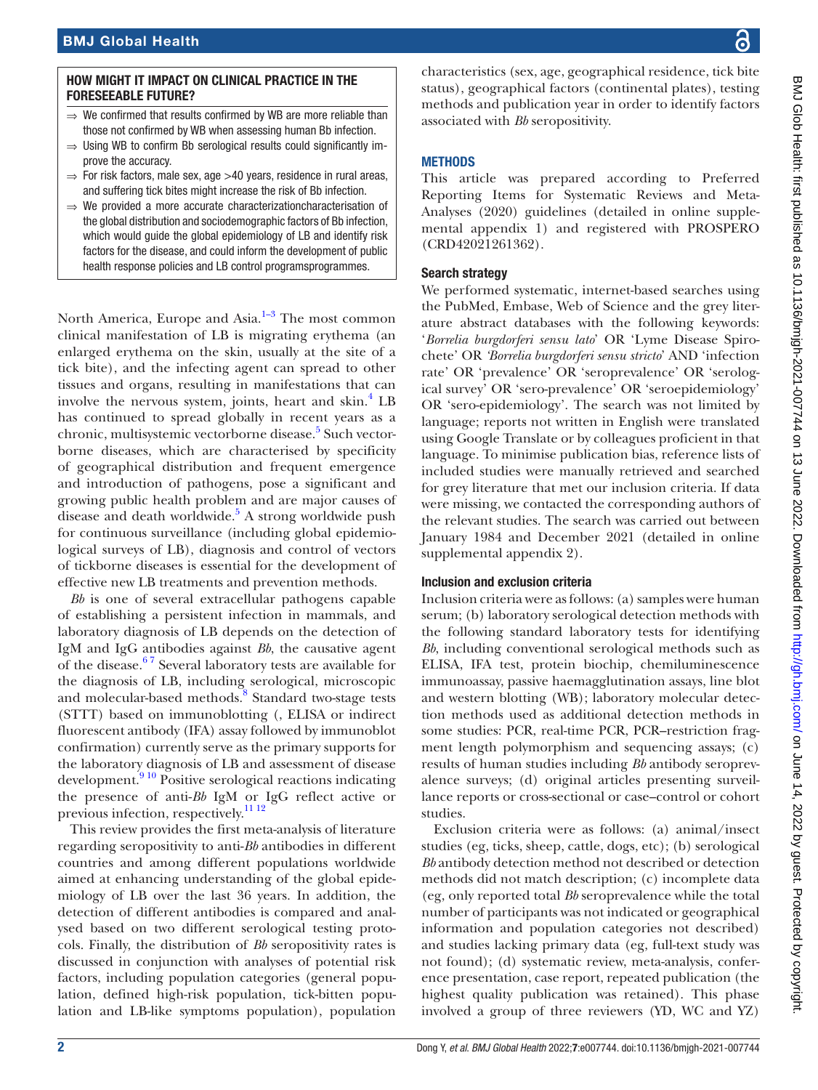#### HOW MIGHT IT IMPACT ON CLINICAL PRACTICE IN THE FORESEEABLE FUTURE?

- We confirmed that results confirmed by WB are more reliable than those not confirmed by WB when assessing human Bb infection.
- ⇒ Using WB to confirm Bb serological results could significantly improve the accuracy.
- $\Rightarrow$  For risk factors, male sex, age  $>$ 40 years, residence in rural areas, and suffering tick bites might increase the risk of Bb infection.
- ⇒ We provided a more accurate characterizationcharacterisation of the global distribution and sociodemographic factors of Bb infection, which would guide the global epidemiology of LB and identify risk factors for the disease, and could inform the development of public health response policies and LB control programsprogrammes.

North America, Europe and Asia. $1-3$  The most common clinical manifestation of LB is migrating erythema (an enlarged erythema on the skin, usually at the site of a tick bite), and the infecting agent can spread to other tissues and organs, resulting in manifestations that can involve the nervous system, joints, heart and skin.<sup>[4](#page-9-1)</sup> LB has continued to spread globally in recent years as a chronic, multisystemic vectorborne disease.<sup>[5](#page-9-2)</sup> Such vectorborne diseases, which are characterised by specificity of geographical distribution and frequent emergence and introduction of pathogens, pose a significant and growing public health problem and are major causes of disease and death worldwide.<sup>[5](#page-9-2)</sup> A strong worldwide push for continuous surveillance (including global epidemiological surveys of LB), diagnosis and control of vectors of tickborne diseases is essential for the development of effective new LB treatments and prevention methods.

*Bb* is one of several extracellular pathogens capable of establishing a persistent infection in mammals, and laboratory diagnosis of LB depends on the detection of IgM and IgG antibodies against *Bb*, the causative agent of the disease. $67$  Several laboratory tests are available for the diagnosis of LB, including serological, microscopic and molecular-based methods.<sup>[8](#page-9-4)</sup> Standard two-stage tests (STTT) based on immunoblotting (, ELISA or indirect fluorescent antibody (IFA) assay followed by immunoblot confirmation) currently serve as the primary supports for the laboratory diagnosis of LB and assessment of disease development.<sup>9 10</sup> Positive serological reactions indicating the presence of anti-*Bb* IgM or IgG reflect active or previous infection, respectively.[11 12](#page-9-6)

This review provides the first meta-analysis of literature regarding seropositivity to anti-*Bb* antibodies in different countries and among different populations worldwide aimed at enhancing understanding of the global epidemiology of LB over the last 36 years. In addition, the detection of different antibodies is compared and analysed based on two different serological testing protocols. Finally, the distribution of *Bb* seropositivity rates is discussed in conjunction with analyses of potential risk factors, including population categories (general population, defined high-risk population, tick-bitten population and LB-like symptoms population), population

characteristics (sex, age, geographical residence, tick bite status), geographical factors (continental plates), testing methods and publication year in order to identify factors associated with *Bb* seropositivity.

#### **METHODS**

This article was prepared according to Preferred Reporting Items for Systematic Reviews and Meta-Analyses (2020) guidelines (detailed in [online supple](https://dx.doi.org/10.1136/bmjgh-2021-007744)[mental appendix 1](https://dx.doi.org/10.1136/bmjgh-2021-007744)) and registered with PROSPERO (CRD42021261362).

#### Search strategy

We performed systematic, internet-based searches using the PubMed, Embase, Web of Science and the grey literature abstract databases with the following keywords: '*Borrelia burgdorferi sensu lato*' OR 'Lyme Disease Spirochete' OR *'Borrelia burgdorferi sensu stricto*' AND 'infection rate' OR 'prevalence' OR 'seroprevalence' OR 'serological survey' OR 'sero-prevalence' OR 'seroepidemiology' OR 'sero-epidemiology'. The search was not limited by language; reports not written in English were translated using Google Translate or by colleagues proficient in that language. To minimise publication bias, reference lists of included studies were manually retrieved and searched for grey literature that met our inclusion criteria. If data were missing, we contacted the corresponding authors of the relevant studies. The search was carried out between January 1984 and December 2021 (detailed in [online](https://dx.doi.org/10.1136/bmjgh-2021-007744) [supplemental appendix 2\)](https://dx.doi.org/10.1136/bmjgh-2021-007744).

#### Inclusion and exclusion criteria

Inclusion criteria were as follows: (a) samples were human serum; (b) laboratory serological detection methods with the following standard laboratory tests for identifying *Bb*, including conventional serological methods such as ELISA, IFA test, protein biochip, chemiluminescence immunoassay, passive haemagglutination assays, line blot and western blotting (WB); laboratory molecular detection methods used as additional detection methods in some studies: PCR, real-time PCR, PCR–restriction fragment length polymorphism and sequencing assays; (c) results of human studies including *Bb* antibody seroprevalence surveys; (d) original articles presenting surveillance reports or cross-sectional or case–control or cohort studies.

Exclusion criteria were as follows: (a) animal/insect studies (eg, ticks, sheep, cattle, dogs, etc); (b) serological *Bb* antibody detection method not described or detection methods did not match description; (c) incomplete data (eg, only reported total *Bb* seroprevalence while the total number of participants was not indicated or geographical information and population categories not described) and studies lacking primary data (eg, full-text study was not found); (d) systematic review, meta-analysis, conference presentation, case report, repeated publication (the highest quality publication was retained). This phase involved a group of three reviewers (YD, WC and YZ)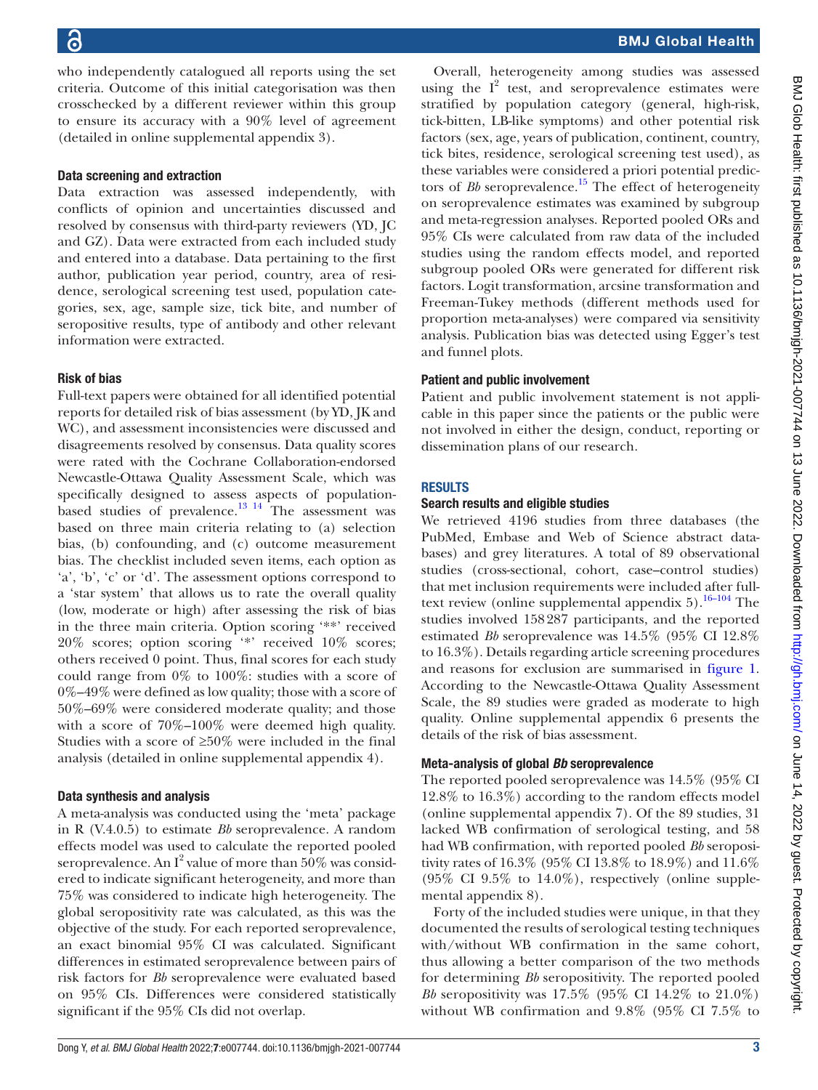who independently catalogued all reports using the set criteria. Outcome of this initial categorisation was then crosschecked by a different reviewer within this group to ensure its accuracy with a 90% level of agreement (detailed in [online supplemental appendix 3](https://dx.doi.org/10.1136/bmjgh-2021-007744)).

### Data screening and extraction

Data extraction was assessed independently, with conflicts of opinion and uncertainties discussed and resolved by consensus with third-party reviewers (YD, JC and GZ). Data were extracted from each included study and entered into a database. Data pertaining to the first author, publication year period, country, area of residence, serological screening test used, population categories, sex, age, sample size, tick bite, and number of seropositive results, type of antibody and other relevant information were extracted.

# Risk of bias

Full-text papers were obtained for all identified potential reports for detailed risk of bias assessment (by YD, JK and WC), and assessment inconsistencies were discussed and disagreements resolved by consensus. Data quality scores were rated with the Cochrane Collaboration-endorsed Newcastle-Ottawa Quality Assessment Scale, which was specifically designed to assess aspects of populationbased studies of prevalence. $^{13}$  <sup>14</sup> The assessment was based on three main criteria relating to (a) selection bias, (b) confounding, and (c) outcome measurement bias. The checklist included seven items, each option as 'a', 'b', 'c' or 'd'. The assessment options correspond to a 'star system' that allows us to rate the overall quality (low, moderate or high) after assessing the risk of bias in the three main criteria. Option scoring '\*\*' received 20% scores; option scoring '\*' received 10% scores; others received 0 point. Thus, final scores for each study could range from 0% to 100%: studies with a score of 0%–49% were defined as low quality; those with a score of 50%–69% were considered moderate quality; and those with a score of 70%–100% were deemed high quality. Studies with a score of  $\geq 50\%$  were included in the final analysis (detailed in [online supplemental appendix 4](https://dx.doi.org/10.1136/bmjgh-2021-007744)).

# Data synthesis and analysis

A meta-analysis was conducted using the 'meta' package in R (V.4.0.5) to estimate *Bb* seroprevalence. A random effects model was used to calculate the reported pooled seroprevalence. An  $I^2$  value of more than  $50\%$  was considered to indicate significant heterogeneity, and more than 75% was considered to indicate high heterogeneity. The global seropositivity rate was calculated, as this was the objective of the study. For each reported seroprevalence, an exact binomial 95% CI was calculated. Significant differences in estimated seroprevalence between pairs of risk factors for *Bb* seroprevalence were evaluated based on 95% CIs. Differences were considered statistically significant if the 95% CIs did not overlap.

Overall, heterogeneity among studies was assessed using the  $I^2$  test, and seroprevalence estimates were stratified by population category (general, high-risk, tick-bitten, LB-like symptoms) and other potential risk factors (sex, age, years of publication, continent, country, tick bites, residence, serological screening test used), as these variables were considered a priori potential predictors of *Bb* seroprevalence.<sup>[15](#page-9-8)</sup> The effect of heterogeneity on seroprevalence estimates was examined by subgroup and meta-regression analyses. Reported pooled ORs and 95% CIs were calculated from raw data of the included studies using the random effects model, and reported subgroup pooled ORs were generated for different risk factors. Logit transformation, arcsine transformation and Freeman-Tukey methods (different methods used for proportion meta-analyses) were compared via sensitivity analysis. Publication bias was detected using Egger's test and funnel plots.

#### Patient and public involvement

Patient and public involvement statement is not applicable in this paper since the patients or the public were not involved in either the design, conduct, reporting or dissemination plans of our research.

#### **RESULTS**

#### Search results and eligible studies

We retrieved 4196 studies from three databases (the PubMed, Embase and Web of Science abstract databases) and grey literatures. A total of 89 observational studies (cross-sectional, cohort, case–control studies) that met inclusion requirements were included after fulltext review (online supplemental appendix  $5$ ).<sup>16–104</sup> The studies involved 158287 participants, and the reported estimated *Bb* seroprevalence was 14.5% (95% CI 12.8% to 16.3%). Details regarding article screening procedures and reasons for exclusion are summarised in [figure](#page-3-0) 1. According to the Newcastle-Ottawa Quality Assessment Scale, the 89 studies were graded as moderate to high quality. [Online supplemental appendix 6](https://dx.doi.org/10.1136/bmjgh-2021-007744) presents the details of the risk of bias assessment.

#### Meta-analysis of global *Bb* seroprevalence

The reported pooled seroprevalence was 14.5% (95% CI 12.8% to 16.3%) according to the random effects model [\(online supplemental appendix 7](https://dx.doi.org/10.1136/bmjgh-2021-007744)). Of the 89 studies, 31 lacked WB confirmation of serological testing, and 58 had WB confirmation, with reported pooled *Bb* seropositivity rates of 16.3% (95% CI 13.8% to 18.9%) and 11.6% (95% CI 9.5% to 14.0%), respectively [\(online supple](https://dx.doi.org/10.1136/bmjgh-2021-007744)[mental appendix 8\)](https://dx.doi.org/10.1136/bmjgh-2021-007744).

Forty of the included studies were unique, in that they documented the results of serological testing techniques with/without WB confirmation in the same cohort, thus allowing a better comparison of the two methods for determining *Bb* seropositivity. The reported pooled *Bb* seropositivity was 17.5% (95% CI 14.2% to 21.0%) without WB confirmation and 9.8% (95% CI 7.5% to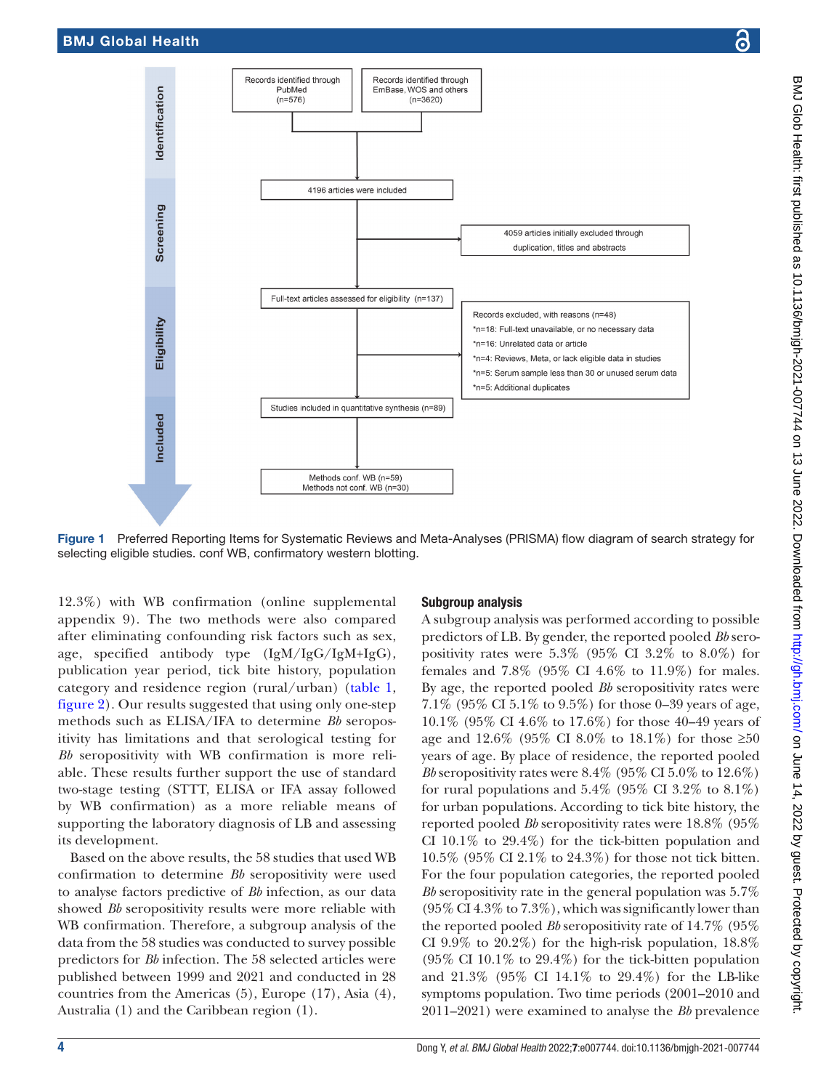

Records identified through

Records identified through

<span id="page-3-0"></span>Figure 1 Preferred Reporting Items for Systematic Reviews and Meta-Analyses (PRISMA) flow diagram of search strategy for selecting eligible studies. conf WB, confirmatory western blotting.

12.3%) with WB confirmation ([online supplemental](https://dx.doi.org/10.1136/bmjgh-2021-007744)  [appendix 9\)](https://dx.doi.org/10.1136/bmjgh-2021-007744). The two methods were also compared after eliminating confounding risk factors such as sex, age, specified antibody type (IgM/IgG/IgM+IgG), publication year period, tick bite history, population category and residence region (rural/urban) ([table](#page-4-0) 1, [figure](#page-5-0) 2). Our results suggested that using only one-step methods such as ELISA/IFA to determine *Bb* seropositivity has limitations and that serological testing for *Bb* seropositivity with WB confirmation is more reliable. These results further support the use of standard two-stage testing (STTT, ELISA or IFA assay followed by WB confirmation) as a more reliable means of supporting the laboratory diagnosis of LB and assessing its development.

Based on the above results, the 58 studies that used WB confirmation to determine *Bb* seropositivity were used to analyse factors predictive of *Bb* infection, as our data showed *Bb* seropositivity results were more reliable with WB confirmation. Therefore, a subgroup analysis of the data from the 58 studies was conducted to survey possible predictors for *Bb* infection. The 58 selected articles were published between 1999 and 2021 and conducted in 28 countries from the Americas (5), Europe (17), Asia (4), Australia (1) and the Caribbean region (1).

#### Subgroup analysis

A subgroup analysis was performed according to possible predictors of LB. By gender, the reported pooled *Bb* seropositivity rates were 5.3% (95% CI 3.2% to 8.0%) for females and 7.8% (95% CI 4.6% to 11.9%) for males. By age, the reported pooled *Bb* seropositivity rates were 7.1% (95% CI 5.1% to 9.5%) for those 0–39 years of age, 10.1% (95% CI 4.6% to 17.6%) for those 40–49 years of age and 12.6% (95% CI 8.0% to 18.1%) for those  $\geq 50$ years of age. By place of residence, the reported pooled *Bb* seropositivity rates were 8.4% (95% CI 5.0% to 12.6%) for rural populations and  $5.4\%$  (95% CI 3.2% to  $8.1\%$ ) for urban populations. According to tick bite history, the reported pooled *Bb* seropositivity rates were 18.8% (95% CI 10.1% to 29.4%) for the tick-bitten population and 10.5% (95% CI 2.1% to 24.3%) for those not tick bitten. For the four population categories, the reported pooled *Bb* seropositivity rate in the general population was 5.7% (95% CI 4.3% to 7.3%), which was significantly lower than the reported pooled *Bb* seropositivity rate of 14.7% (95% CI 9.9% to 20.2%) for the high-risk population, 18.8% (95% CI 10.1% to 29.4%) for the tick-bitten population and 21.3% (95% CI 14.1% to 29.4%) for the LB-like symptoms population. Two time periods (2001–2010 and 2011–2021) were examined to analyse the *Bb* prevalence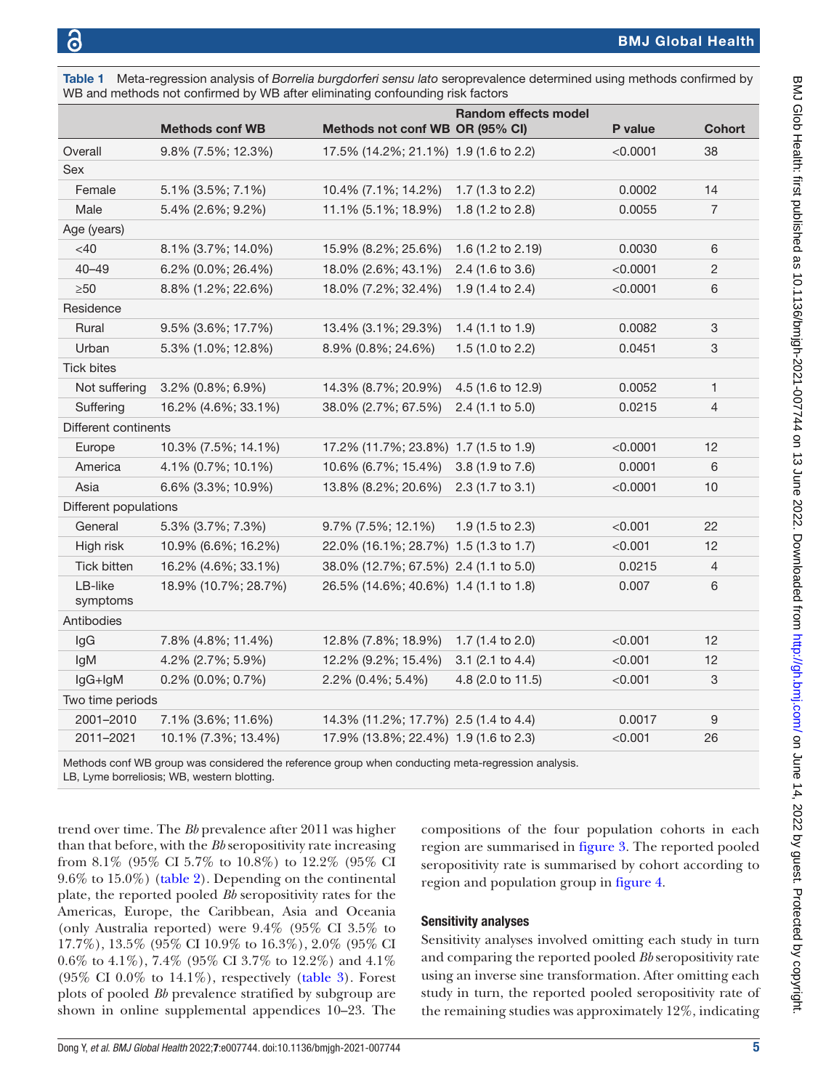|                       | WB and methods not confirmed by WB after eliminating confounding risk factors |                                       |                             |          |                           |
|-----------------------|-------------------------------------------------------------------------------|---------------------------------------|-----------------------------|----------|---------------------------|
|                       |                                                                               |                                       | Random effects model        |          |                           |
|                       | <b>Methods conf WB</b>                                                        | Methods not conf WB OR (95% CI)       |                             | P value  | <b>Cohort</b>             |
| Overall               | 9.8% (7.5%; 12.3%)                                                            | 17.5% (14.2%; 21.1%) 1.9 (1.6 to 2.2) |                             | < 0.0001 | 38                        |
| Sex                   |                                                                               |                                       |                             |          |                           |
| Female                | 5.1% (3.5%; 7.1%)                                                             | 10.4% (7.1%; 14.2%)                   | 1.7 (1.3 to 2.2)            | 0.0002   | 14                        |
| Male                  | 5.4% (2.6%; 9.2%)                                                             | 11.1% (5.1%; 18.9%)                   | 1.8 (1.2 to 2.8)            | 0.0055   | $\overline{7}$            |
| Age (years)           |                                                                               |                                       |                             |          |                           |
| $<$ 40 $\,$           | 8.1% (3.7%; 14.0%)                                                            | 15.9% (8.2%; 25.6%)                   | 1.6 (1.2 to 2.19)           | 0.0030   | 6                         |
| $40 - 49$             | 6.2% (0.0%; 26.4%)                                                            | 18.0% (2.6%; 43.1%)                   | 2.4 (1.6 to 3.6)            | < 0.0001 | $\overline{c}$            |
| $\geq 50$             | 8.8% (1.2%; 22.6%)                                                            | 18.0% (7.2%; 32.4%)                   | 1.9 $(1.4 \text{ to } 2.4)$ | < 0.0001 | 6                         |
| Residence             |                                                                               |                                       |                             |          |                           |
| Rural                 | 9.5% (3.6%; 17.7%)                                                            | 13.4% (3.1%; 29.3%)                   | 1.4 $(1.1$ to 1.9)          | 0.0082   | $\ensuremath{\mathsf{3}}$ |
| Urban                 | 5.3% (1.0%; 12.8%)                                                            | 8.9% (0.8%; 24.6%)                    | 1.5 $(1.0 to 2.2)$          | 0.0451   | 3                         |
| <b>Tick bites</b>     |                                                                               |                                       |                             |          |                           |
| Not suffering         | 3.2% (0.8%; 6.9%)                                                             | 14.3% (8.7%; 20.9%)                   | 4.5 (1.6 to 12.9)           | 0.0052   | 1                         |
| Suffering             | 16.2% (4.6%; 33.1%)                                                           | 38.0% (2.7%; 67.5%)                   | $2.4$ (1.1 to 5.0)          | 0.0215   | $\overline{4}$            |
| Different continents  |                                                                               |                                       |                             |          |                           |
| Europe                | 10.3% (7.5%; 14.1%)                                                           | 17.2% (11.7%; 23.8%) 1.7 (1.5 to 1.9) |                             | < 0.0001 | 12                        |
| America               | 4.1% (0.7%; 10.1%)                                                            | 10.6% (6.7%; 15.4%)                   | 3.8 (1.9 to 7.6)            | 0.0001   | 6                         |
| Asia                  | 6.6% (3.3%; 10.9%)                                                            | 13.8% (8.2%; 20.6%)                   | $2.3$ (1.7 to 3.1)          | < 0.0001 | 10                        |
| Different populations |                                                                               |                                       |                             |          |                           |
| General               | 5.3% (3.7%; 7.3%)                                                             | 9.7% (7.5%; 12.1%)                    | $1.9(1.5 \text{ to } 2.3)$  | < 0.001  | 22                        |
| High risk             | 10.9% (6.6%; 16.2%)                                                           | 22.0% (16.1%; 28.7%) 1.5 (1.3 to 1.7) |                             | < 0.001  | 12                        |
| Tick bitten           | 16.2% (4.6%; 33.1%)                                                           | 38.0% (12.7%; 67.5%) 2.4 (1.1 to 5.0) |                             | 0.0215   | $\overline{4}$            |
| LB-like<br>symptoms   | 18.9% (10.7%; 28.7%)                                                          | 26.5% (14.6%; 40.6%) 1.4 (1.1 to 1.8) |                             | 0.007    | 6                         |
| Antibodies            |                                                                               |                                       |                             |          |                           |
| lgG                   | 7.8% (4.8%; 11.4%)                                                            | 12.8% (7.8%; 18.9%)                   | 1.7 (1.4 to 2.0)            | < 0.001  | 12                        |
| <b>IgM</b>            | 4.2% (2.7%; 5.9%)                                                             | 12.2% (9.2%; 15.4%)                   | $3.1$ (2.1 to 4.4)          | < 0.001  | 12                        |
| $lgG+lgM$             | $0.2\%$ (0.0%; 0.7%)                                                          | 2.2% (0.4%; 5.4%)                     | 4.8 (2.0 to 11.5)           | < 0.001  | 3                         |
| Two time periods      |                                                                               |                                       |                             |          |                           |
| 2001-2010             | 7.1% (3.6%; 11.6%)                                                            | 14.3% (11.2%; 17.7%) 2.5 (1.4 to 4.4) |                             | 0.0017   | 9                         |
| 2011-2021             | 10.1% (7.3%; 13.4%)                                                           | 17.9% (13.8%; 22.4%) 1.9 (1.6 to 2.3) |                             | < 0.001  | 26                        |
|                       |                                                                               |                                       |                             |          |                           |

<span id="page-4-0"></span>Table 1 Meta-regression analysis of *Borrelia burgdorferi sensu lato* seroprevalence determined using methods confirmed by WB and methods not confirmed by WB after eliminating confounding risk factors

Methods conf WB group was considered the reference group when conducting meta-regression analysis. LB, Lyme borreliosis; WB, western blotting.

trend over time. The *Bb* prevalence after 2011 was higher than that before, with the *Bb* seropositivity rate increasing from 8.1% (95% CI 5.7% to 10.8%) to 12.2% (95% CI 9.6% to 15.0%) ([table](#page-6-0) 2). Depending on the continental plate, the reported pooled *Bb* seropositivity rates for the Americas, Europe, the Caribbean, Asia and Oceania (only Australia reported) were 9.4% (95% CI 3.5% to 17.7%), 13.5% (95% CI 10.9% to 16.3%), 2.0% (95% CI 0.6% to 4.1%), 7.4% (95% CI 3.7% to 12.2%) and 4.1% (95% CI 0.0% to  $14.1\%$ ), respectively ([table](#page-7-0) 3). Forest plots of pooled *Bb* prevalence stratified by subgroup are shown in [online supplemental appendices 10–23.](https://dx.doi.org/10.1136/bmjgh-2021-007744) The

compositions of the four population cohorts in each region are summarised in [figure](#page-8-0) 3. The reported pooled seropositivity rate is summarised by cohort according to region and population group in [figure](#page-8-1) 4.

#### Sensitivity analyses

Sensitivity analyses involved omitting each study in turn and comparing the reported pooled *Bb* seropositivity rate using an inverse sine transformation. After omitting each study in turn, the reported pooled seropositivity rate of the remaining studies was approximately 12%, indicating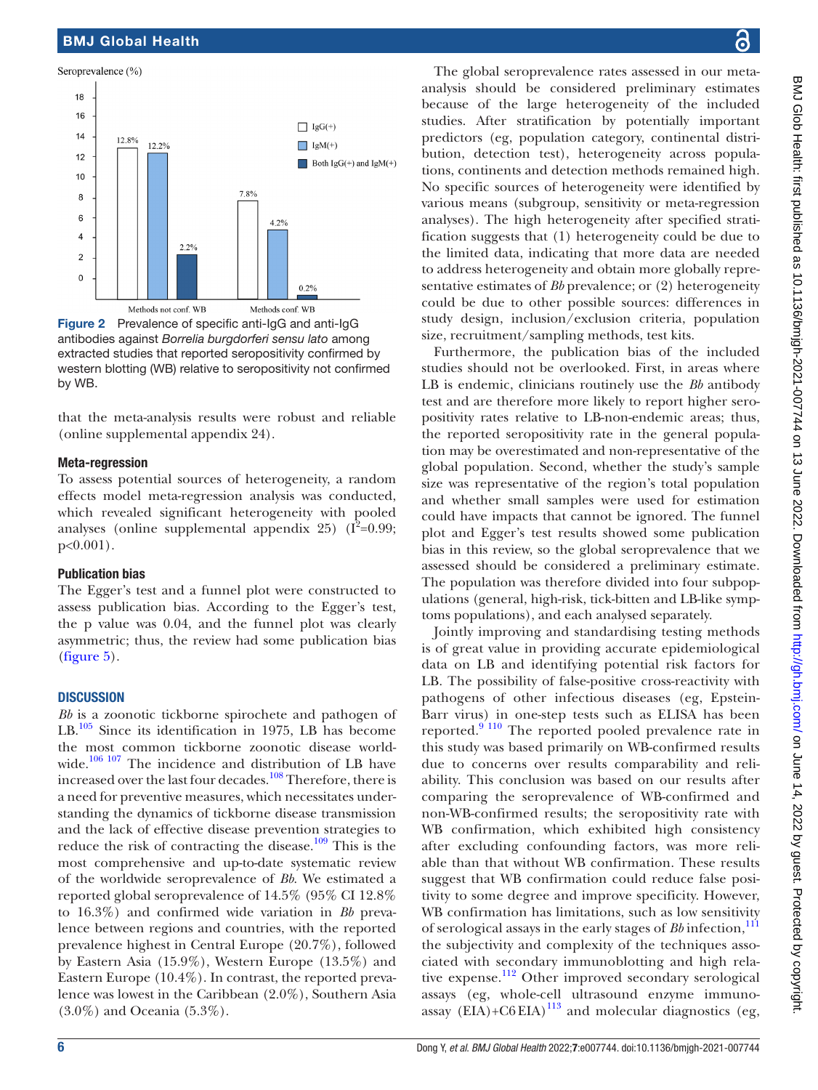#### Seroprevalence (%) 18 16  $\prod$  IgG(+)  $14$ 12.8%  $12.2%$  $\Box$  IgM(+)  $12$ Both  $\lg G(+)$  and  $\lg M(+)$  $10$  $7.8%$ 8 6  $4.2%$  $\overline{A}$  $2.2%$  $\overline{\mathbf{c}}$  $\Omega$  $0.2%$ Methods not conf. WB Methods conf. WB

<span id="page-5-0"></span>Figure 2 Prevalence of specific anti-IgG and anti-IgG antibodies against *Borrelia burgdorferi sensu lato* among extracted studies that reported seropositivity confirmed by western blotting (WB) relative to seropositivity not confirmed by WB.

that the meta-analysis results were robust and reliable ([online supplemental appendix 24](https://dx.doi.org/10.1136/bmjgh-2021-007744)).

#### Meta-regression

To assess potential sources of heterogeneity, a random effects model meta-regression analysis was conducted, which revealed significant heterogeneity with pooled analyses ([online supplemental appendix 25](https://dx.doi.org/10.1136/bmjgh-2021-007744))  $(I^2=0.99;$ p<0.001).

#### Publication bias

The Egger's test and a funnel plot were constructed to assess publication bias. According to the Egger's test, the p value was 0.04, and the funnel plot was clearly asymmetric; thus, the review had some publication bias ([figure](#page-8-2) 5).

#### **DISCUSSION**

*Bb* is a zoonotic tickborne spirochete and pathogen of LB.<sup>105</sup> Since its identification in 1975, LB has become the most common tickborne zoonotic disease world-wide.<sup>[106 107](#page-11-1)</sup> The incidence and distribution of LB have increased over the last four decades.<sup>[108](#page-11-2)</sup> Therefore, there is a need for preventive measures, which necessitates understanding the dynamics of tickborne disease transmission and the lack of effective disease prevention strategies to reduce the risk of contracting the disease.<sup>109</sup> This is the most comprehensive and up-to-date systematic review of the worldwide seroprevalence of *Bb*. We estimated a reported global seroprevalence of 14.5% (95% CI 12.8% to 16.3%) and confirmed wide variation in *Bb* prevalence between regions and countries, with the reported prevalence highest in Central Europe (20.7%), followed by Eastern Asia (15.9%), Western Europe (13.5%) and Eastern Europe (10.4%). In contrast, the reported prevalence was lowest in the Caribbean (2.0%), Southern Asia (3.0%) and Oceania (5.3%).

The global seroprevalence rates assessed in our metaanalysis should be considered preliminary estimates because of the large heterogeneity of the included studies. After stratification by potentially important predictors (eg, population category, continental distribution, detection test), heterogeneity across populations, continents and detection methods remained high. No specific sources of heterogeneity were identified by various means (subgroup, sensitivity or meta-regression analyses). The high heterogeneity after specified stratification suggests that (1) heterogeneity could be due to the limited data, indicating that more data are needed to address heterogeneity and obtain more globally representative estimates of *Bb* prevalence; or (2) heterogeneity could be due to other possible sources: differences in study design, inclusion/exclusion criteria, population size, recruitment/sampling methods, test kits.

Furthermore, the publication bias of the included studies should not be overlooked. First, in areas where LB is endemic, clinicians routinely use the *Bb* antibody test and are therefore more likely to report higher seropositivity rates relative to LB-non-endemic areas; thus, the reported seropositivity rate in the general population may be overestimated and non-representative of the global population. Second, whether the study's sample size was representative of the region's total population and whether small samples were used for estimation could have impacts that cannot be ignored. The funnel plot and Egger's test results showed some publication bias in this review, so the global seroprevalence that we assessed should be considered a preliminary estimate. The population was therefore divided into four subpopulations (general, high-risk, tick-bitten and LB-like symptoms populations), and each analysed separately.

Jointly improving and standardising testing methods is of great value in providing accurate epidemiological data on LB and identifying potential risk factors for LB. The possibility of false-positive cross-reactivity with pathogens of other infectious diseases (eg, Epstein-Barr virus) in one-step tests such as ELISA has been reported.[9 110](#page-9-5) The reported pooled prevalence rate in this study was based primarily on WB-confirmed results due to concerns over results comparability and reliability. This conclusion was based on our results after comparing the seroprevalence of WB-confirmed and non-WB-confirmed results; the seropositivity rate with WB confirmation, which exhibited high consistency after excluding confounding factors, was more reliable than that without WB confirmation. These results suggest that WB confirmation could reduce false positivity to some degree and improve specificity. However, WB confirmation has limitations, such as low sensitivity of serological assays in the early stages of *Bb* infection,<sup>[111](#page-11-4)</sup> the subjectivity and complexity of the techniques associated with secondary immunoblotting and high rela-tive expense.<sup>[112](#page-11-5)</sup> Other improved secondary serological assays (eg, whole-cell ultrasound enzyme immuno- $\frac{1}{2}$  (ex),  $\frac{1}{2}$  and  $\frac{1}{2}$  and molecular diagnostics (eg,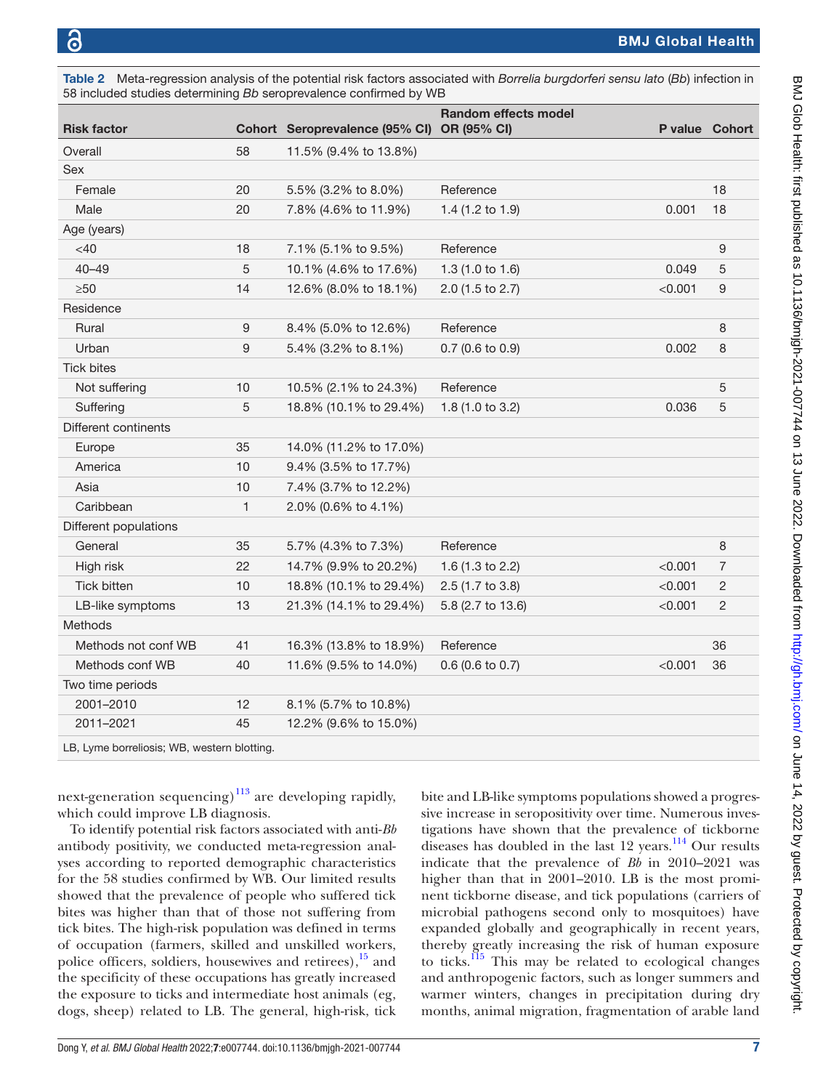<span id="page-6-0"></span>

| Table 2              |                | 58 included studies determining Bb seroprevalence confirmed by WB | Meta-regression analysis of the potential risk factors associated with Borrelia burgdorferi sensu lato (Bb) infection in |                       |        |
|----------------------|----------------|-------------------------------------------------------------------|--------------------------------------------------------------------------------------------------------------------------|-----------------------|--------|
| <b>Risk factor</b>   |                | Cohort Seroprevalence (95% CI) OR (95% CI)                        | <b>Random effects model</b>                                                                                              | <b>P</b> value Cohort |        |
| Overall              | 58             | 11.5% (9.4% to 13.8%)                                             |                                                                                                                          |                       |        |
| <b>Sex</b>           |                |                                                                   |                                                                                                                          |                       |        |
| Female               | 20             | 5.5% (3.2% to 8.0%)                                               | Reference                                                                                                                |                       | 18     |
| Male                 | 20             | 7.8% (4.6% to 11.9%)                                              | 1.4 $(1.2 \text{ to } 1.9)$                                                                                              | 0.001                 | 18     |
| Age (years)          |                |                                                                   |                                                                                                                          |                       |        |
| $<$ 40               | 18             | 7.1% (5.1% to 9.5%)                                               | Reference                                                                                                                |                       | 9      |
| $40 - 49$            | 5              | 10.1% (4.6% to 17.6%)                                             | 1.3 $(1.0 to 1.6)$                                                                                                       | 0.049                 | 5      |
| $\sim$ $\Gamma \cap$ | $\overline{A}$ | $10.001$ (0.00) $1 - 10.10$                                       | $0.04$ $F + 0.7$                                                                                                         | 0.004                 | $\sim$ |

| Sex                                         |                  |                        |                    |         |                |
|---------------------------------------------|------------------|------------------------|--------------------|---------|----------------|
| Female                                      | 20               | 5.5% (3.2% to 8.0%)    | Reference          |         | 18             |
| Male                                        | 20               | 7.8% (4.6% to 11.9%)   | 1.4 (1.2 to 1.9)   | 0.001   | 18             |
| Age (years)                                 |                  |                        |                    |         |                |
| <40                                         | 18               | 7.1% (5.1% to 9.5%)    | Reference          |         | 9              |
| $40 - 49$                                   | 5                | 10.1% (4.6% to 17.6%)  | 1.3 (1.0 to 1.6)   | 0.049   | 5              |
| $\geq 50$                                   | 14               | 12.6% (8.0% to 18.1%)  | $2.0$ (1.5 to 2.7) | < 0.001 | 9              |
| Residence                                   |                  |                        |                    |         |                |
| Rural                                       | 9                | 8.4% (5.0% to 12.6%)   | Reference          |         | 8              |
| Urban                                       | $\boldsymbol{9}$ | 5.4% (3.2% to 8.1%)    | 0.7 (0.6 to 0.9)   | 0.002   | 8              |
| <b>Tick bites</b>                           |                  |                        |                    |         |                |
| Not suffering                               | 10               | 10.5% (2.1% to 24.3%)  | Reference          |         | 5              |
| Suffering                                   | 5                | 18.8% (10.1% to 29.4%) | 1.8 (1.0 to 3.2)   | 0.036   | 5              |
| Different continents                        |                  |                        |                    |         |                |
| Europe                                      | 35               | 14.0% (11.2% to 17.0%) |                    |         |                |
| America                                     | 10               | 9.4% (3.5% to 17.7%)   |                    |         |                |
| Asia                                        | 10               | 7.4% (3.7% to 12.2%)   |                    |         |                |
| Caribbean                                   | $\mathbf{1}$     | 2.0% (0.6% to 4.1%)    |                    |         |                |
| Different populations                       |                  |                        |                    |         |                |
| General                                     | 35               | 5.7% (4.3% to 7.3%)    | Reference          |         | 8              |
| High risk                                   | 22               | 14.7% (9.9% to 20.2%)  | 1.6 (1.3 to 2.2)   | < 0.001 | $\overline{7}$ |
| <b>Tick bitten</b>                          | 10               | 18.8% (10.1% to 29.4%) | 2.5 (1.7 to 3.8)   | < 0.001 | 2              |
| LB-like symptoms                            | 13               | 21.3% (14.1% to 29.4%) | 5.8 (2.7 to 13.6)  | < 0.001 | 2              |
| <b>Methods</b>                              |                  |                        |                    |         |                |
| Methods not conf WB                         | 41               | 16.3% (13.8% to 18.9%) | Reference          |         | 36             |
| Methods conf WB                             | 40               | 11.6% (9.5% to 14.0%)  | $0.6$ (0.6 to 0.7) | < 0.001 | 36             |
| Two time periods                            |                  |                        |                    |         |                |
| 2001-2010                                   | 12               | 8.1% (5.7% to 10.8%)   |                    |         |                |
| 2011-2021                                   | 45               | 12.2% (9.6% to 15.0%)  |                    |         |                |
| LB, Lyme borreliosis; WB, western blotting. |                  |                        |                    |         |                |

next-generation sequencing)<sup>113</sup> are developing rapidly, which could improve LB diagnosis.

To identify potential risk factors associated with anti-*Bb* antibody positivity, we conducted meta-regression analyses according to reported demographic characteristics for the 58 studies confirmed by WB. Our limited results showed that the prevalence of people who suffered tick bites was higher than that of those not suffering from tick bites. The high-risk population was defined in terms of occupation (farmers, skilled and unskilled workers, police officers, soldiers, housewives and retirees), $\frac{15}{15}$  and the specificity of these occupations has greatly increased the exposure to ticks and intermediate host animals (eg, dogs, sheep) related to LB. The general, high-risk, tick

bite and LB-like symptoms populations showed a progressive increase in seropositivity over time. Numerous investigations have shown that the prevalence of tickborne diseases has doubled in the last 12 years.<sup>114</sup> Our results indicate that the prevalence of *Bb* in 2010–2021 was higher than that in 2001–2010. LB is the most prominent tickborne disease, and tick populations (carriers of microbial pathogens second only to mosquitoes) have expanded globally and geographically in recent years, thereby greatly increasing the risk of human exposure to ticks.<sup>115</sup> This may be related to ecological changes and anthropogenic factors, such as longer summers and warmer winters, changes in precipitation during dry months, animal migration, fragmentation of arable land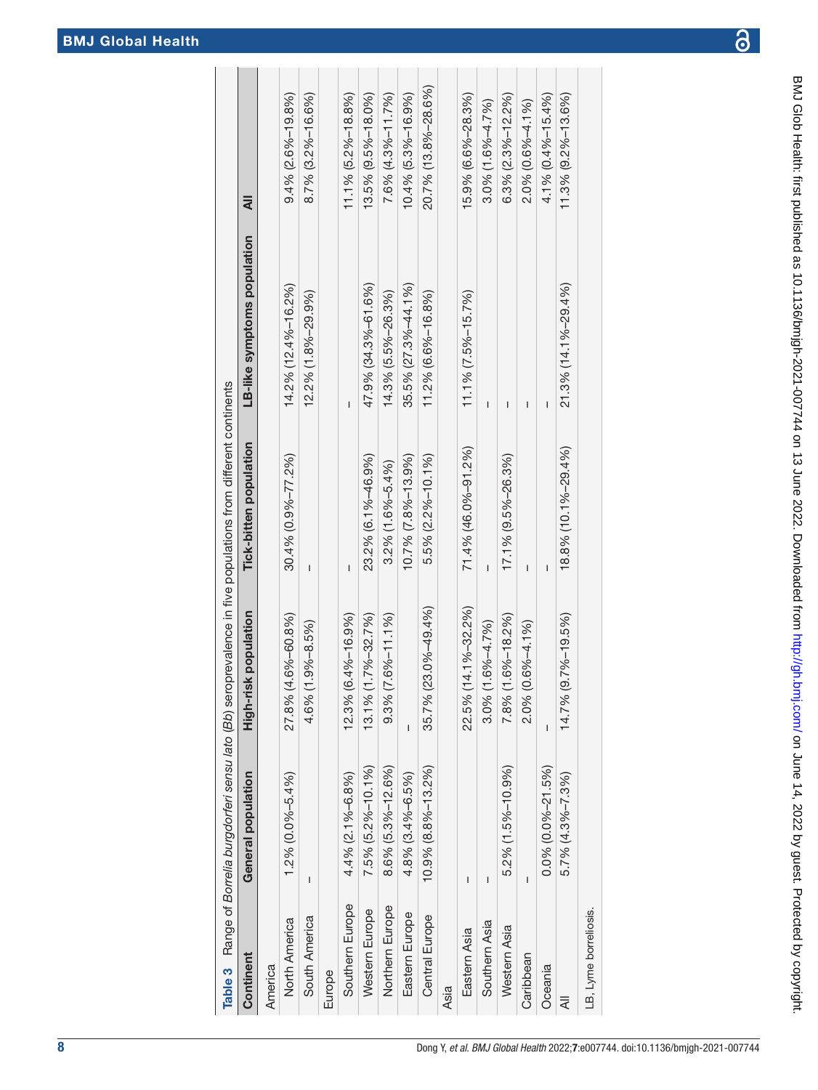BMJ Glob Health: first published as 10.1136/bmigh-2021-007744 on 13 June 2022. Downloaded from http://gh.bmj.com/ on June 14, 2022 by guest. Protected by copyright. BMJ Glob Health: first published as 10.1136/bmjgh-2021-00*774*4 on 13 June 2022. Downloaded from <http://gh.bmj.com/> on June 14, 2022 by guest. Protected by copyright

<span id="page-7-0"></span>

|                       |                             |                              | Table 3 Pange of Borrelia burgdorferi sensu lato (Bb) seroprevalence in five populations from different continents |                              |                       |
|-----------------------|-----------------------------|------------------------------|--------------------------------------------------------------------------------------------------------------------|------------------------------|-----------------------|
| Continent             | General population          | k population<br>High-risl    | Tick-bitten population                                                                                             | LB-like symptoms population  | ₹                     |
| America               |                             |                              |                                                                                                                    |                              |                       |
| North America         | $1.2\%$ (0.0%-5.4%)         | $.6\% - 60.8\%$<br>27.8% (4  | $30.4\%$ (0.9%-77.2%)                                                                                              | 14.2% (12.4%–16.2%)          | $9.4\%$ (2.6%-19.8%)  |
| South America         | I                           | $.9\% - 8.5\%$<br>4.6% (1    | I                                                                                                                  | 12.2% (1.8%-29.9%)           | $8.7\%$ (3.2%-16.6%)  |
| Europe                |                             |                              |                                                                                                                    |                              |                       |
| Southern Europe       | 4.4% (2.1%-6.8%)            | $.4\% - 16.9\%$<br>12.3% (6  | ı                                                                                                                  | ı                            | $11.1\%$ (5.2%-18.8%) |
| Western Europe        | 7.5% (5.2%-10.1%)           | $.7\% - 32.7\%$<br>13.1% (1  | 23.2% (6.1%-46.9%)                                                                                                 | 47.9% (34.3%-61.6%)          | 13.5% (9.5%-18.0%)    |
| Northern Europe       | 8.6% (5.3%-12.6%)           | $.6\% - 11.1\%$<br>$9.3%$ (7 | $3.2\%$ (1.6%-5.4%)                                                                                                | 14.3% (5.5%-26.3%)           | $7.6%$ (4.3%-11.7%)   |
| Eastern Europe        | 4.8% (3.4%-6.5%)            | $\overline{1}$               | 10.7% (7.8%-13.9%)                                                                                                 | $35.5\%$ $(27.3\% - 44.1\%)$ | 10.4% (5.3%-16.9%)    |
| Central Europe        | $10.9\%$ $(8.8\% - 13.2\%)$ | 35.7% (23.0%-49.4%)          | $5.5\%$ (2.2%-10.1%)                                                                                               | 11.2% (6.6%-16.8%)           | 20.7% (13.8%-28.6%)   |
| Asia                  |                             |                              |                                                                                                                    |                              |                       |
| Eastern Asia          | I                           | 22.5% (14.1%-32.2%)          | 71.4% (46.0%-91.2%)                                                                                                | $11.1\%$ $(7.5\% - 15.7\%)$  | 15.9% (6.6%-28.3%)    |
| Southern Asia         | I                           | $.6% -4.7%$<br>$3.0%$ (1     |                                                                                                                    | ī                            | $3.0\%$ (1.6%-4.7%)   |
| Western Asia          | 5.2% (1.5%-10.9%)           | $.6\% - 18.2\%$<br>7.8% (1   | 17.1% (9.5%-26.3%)                                                                                                 | ı                            | $6.3\%$ (2.3%-12.2%)  |
| Caribbean             | I                           | $6% -4.1%$<br>2.0% (0        | I                                                                                                                  | I                            | $2.0\%$ (0.6%-4.1%)   |
| Oceania               | $0.0\%$ (0.0%-21.5%)        | $\overline{\phantom{a}}$     | I                                                                                                                  | I                            | 4.1% (0.4%-15.4%)     |
| ₹                     | $5.7\%$ (4.3%-7.3%)         | 14.7% (9.7%-19.5%)           | 18.8% (10.1%-29.4%)                                                                                                | 21.3% (14.1%-29.4%)          | $11.3\%$ (9.2%-13.6%) |
| LB, Lyme borreliosis. |                             |                              |                                                                                                                    |                              |                       |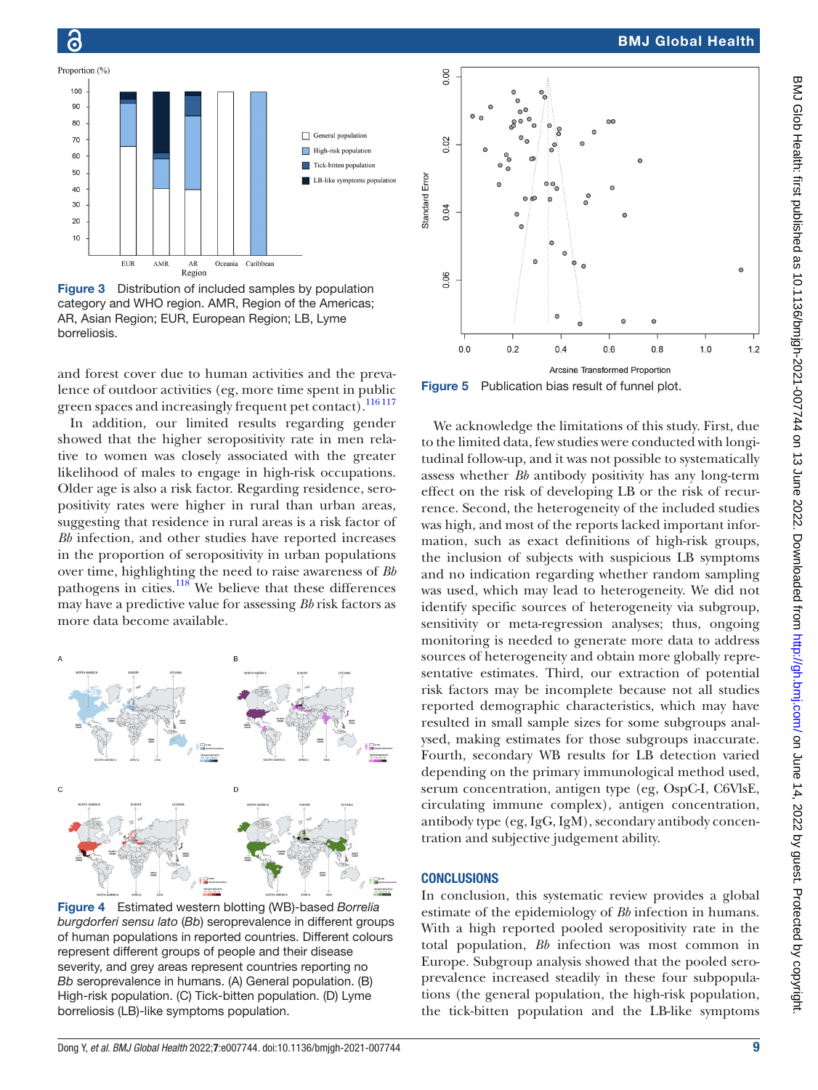



Õ

<span id="page-8-0"></span>Figure 3 Distribution of included samples by population category and WHO region. AMR, Region of the Americas; AR, Asian Region; EUR, European Region; LB, Lyme borreliosis.

and forest cover due to human activities and the prevalence of outdoor activities (eg, more time spent in public green spaces and increasingly frequent pet contact).<sup>116 117</sup>

In addition, our limited results regarding gender showed that the higher seropositivity rate in men relative to women was closely associated with the greater likelihood of males to engage in high-risk occupations. Older age is also a risk factor. Regarding residence, seropositivity rates were higher in rural than urban areas, suggesting that residence in rural areas is a risk factor of *Bb* infection, and other studies have reported increases in the proportion of seropositivity in urban populations over time, highlighting the need to raise awareness of *Bb* pathogens in cities.<sup>[118](#page-11-10)</sup> We believe that these differences may have a predictive value for assessing *Bb* risk factors as more data become available.



<span id="page-8-1"></span>Figure 4 Estimated western blotting (WB)-based *Borrelia burgdorferi sensu lato* (*Bb*) seroprevalence in different groups of human populations in reported countries. Different colours represent different groups of people and their disease severity, and grey areas represent countries reporting no *Bb* seroprevalence in humans. (A) General population. (B) High-risk population. (C) Tick-bitten population. (D) Lyme borreliosis (LB)-like symptoms population.



<span id="page-8-2"></span>Figure 5 Publication bias result of funnel plot.

We acknowledge the limitations of this study. First, due to the limited data, few studies were conducted with longitudinal follow-up, and it was not possible to systematically assess whether *Bb* antibody positivity has any long-term effect on the risk of developing LB or the risk of recurrence. Second, the heterogeneity of the included studies was high, and most of the reports lacked important information, such as exact definitions of high-risk groups, the inclusion of subjects with suspicious LB symptoms and no indication regarding whether random sampling was used, which may lead to heterogeneity. We did not identify specific sources of heterogeneity via subgroup, sensitivity or meta-regression analyses; thus, ongoing monitoring is needed to generate more data to address sources of heterogeneity and obtain more globally representative estimates. Third, our extraction of potential risk factors may be incomplete because not all studies reported demographic characteristics, which may have resulted in small sample sizes for some subgroups analysed, making estimates for those subgroups inaccurate. Fourth, secondary WB results for LB detection varied depending on the primary immunological method used, serum concentration, antigen type (eg, OspC-I, C6VlsE, circulating immune complex), antigen concentration, antibody type (eg, IgG, IgM), secondary antibody concentration and subjective judgement ability.

#### **CONCLUSIONS**

In conclusion, this systematic review provides a global estimate of the epidemiology of *Bb* infection in humans. With a high reported pooled seropositivity rate in the total population, *Bb* infection was most common in Europe. Subgroup analysis showed that the pooled seroprevalence increased steadily in these four subpopulations (the general population, the high-risk population, the tick-bitten population and the LB-like symptoms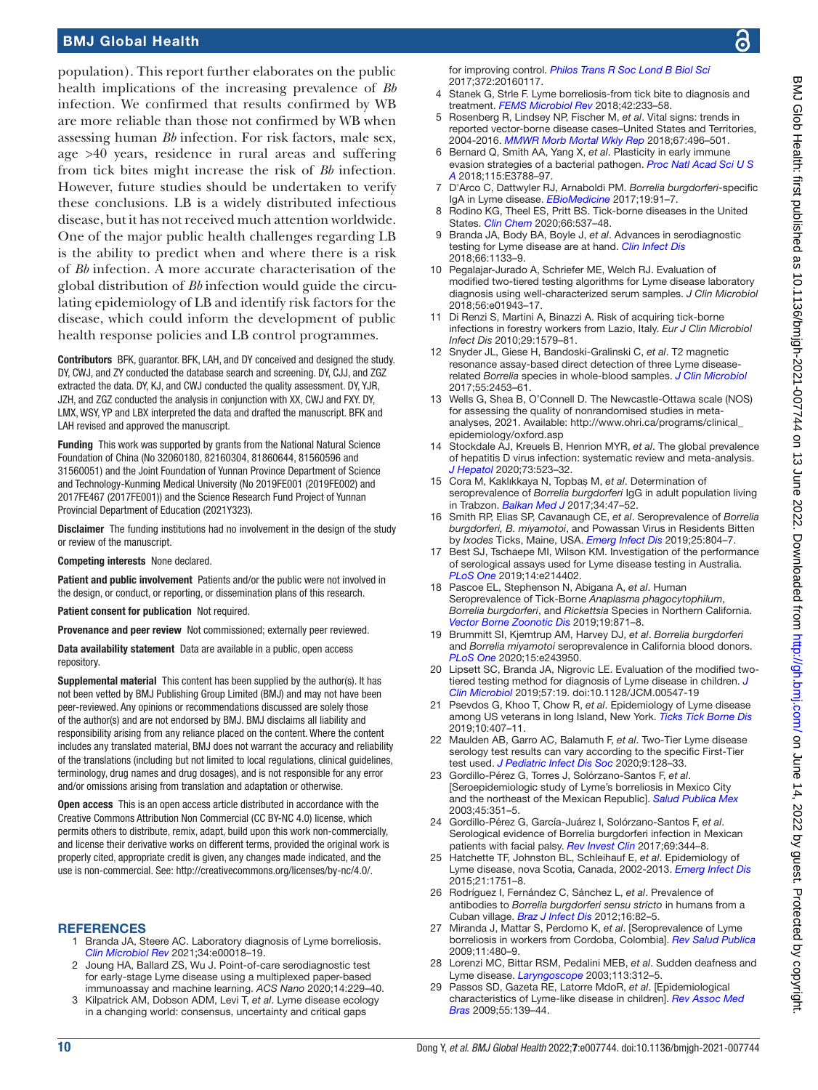population). This report further elaborates on the public health implications of the increasing prevalence of *Bb* infection. We confirmed that results confirmed by WB are more reliable than those not confirmed by WB when assessing human *Bb* infection. For risk factors, male sex, age >40 years, residence in rural areas and suffering from tick bites might increase the risk of *Bb* infection. However, future studies should be undertaken to verify these conclusions. LB is a widely distributed infectious disease, but it has not received much attention worldwide. One of the major public health challenges regarding LB is the ability to predict when and where there is a risk of *Bb* infection. A more accurate characterisation of the global distribution of *Bb* infection would guide the circulating epidemiology of LB and identify risk factors for the disease, which could inform the development of public health response policies and LB control programmes.

Contributors BFK, guarantor. BFK, LAH, and DY conceived and designed the study. DY, CWJ, and ZY conducted the database search and screening. DY, CJJ, and ZGZ extracted the data. DY, KJ, and CWJ conducted the quality assessment. DY, YJR, JZH, and ZGZ conducted the analysis in conjunction with XX, CWJ and FXY. DY, LMX, WSY, YP and LBX interpreted the data and drafted the manuscript. BFK and LAH revised and approved the manuscript.

Funding This work was supported by grants from the National Natural Science Foundation of China (No 32060180, 82160304, 81860644, 81560596 and 31560051) and the Joint Foundation of Yunnan Province Department of Science and Technology-Kunming Medical University (No 2019FE001 (2019FE002) and 2017FE467 (2017FE001)) and the Science Research Fund Project of Yunnan Provincial Department of Education (2021Y323).

Disclaimer The funding institutions had no involvement in the design of the study or review of the manuscript.

Competing interests None declared.

Patient and public involvement Patients and/or the public were not involved in the design, or conduct, or reporting, or dissemination plans of this research.

Patient consent for publication Not required.

Provenance and peer review Not commissioned; externally peer reviewed.

Data availability statement Data are available in a public, open access repository.

Supplemental material This content has been supplied by the author(s). It has not been vetted by BMJ Publishing Group Limited (BMJ) and may not have been peer-reviewed. Any opinions or recommendations discussed are solely those of the author(s) and are not endorsed by BMJ. BMJ disclaims all liability and responsibility arising from any reliance placed on the content. Where the content includes any translated material, BMJ does not warrant the accuracy and reliability of the translations (including but not limited to local regulations, clinical guidelines, terminology, drug names and drug dosages), and is not responsible for any error and/or omissions arising from translation and adaptation or otherwise.

Open access This is an open access article distributed in accordance with the Creative Commons Attribution Non Commercial (CC BY-NC 4.0) license, which permits others to distribute, remix, adapt, build upon this work non-commercially, and license their derivative works on different terms, provided the original work is properly cited, appropriate credit is given, any changes made indicated, and the use is non-commercial. See: [http://creativecommons.org/licenses/by-nc/4.0/.](http://creativecommons.org/licenses/by-nc/4.0/)

#### <span id="page-9-0"></span>**REFERENCES**

- 1 Branda JA, Steere AC. Laboratory diagnosis of Lyme borreliosis. *[Clin Microbiol Rev](http://dx.doi.org/10.1128/CMR.00018-19)* 2021;34:e00018–19.
- 2 Joung HA, Ballard ZS, Wu J. Point-of-care serodiagnostic test for early-stage Lyme disease using a multiplexed paper-based immunoassay and machine learning. *ACS Nano* 2020;14:229–40.
- 3 Kilpatrick AM, Dobson ADM, Levi T, *et al*. Lyme disease ecology in a changing world: consensus, uncertainty and critical gaps

for improving control. *[Philos Trans R Soc Lond B Biol Sci](http://dx.doi.org/10.1098/rstb.2016.0117)* 2017;372:20160117.

- <span id="page-9-1"></span>Stanek G, Strle F. Lyme borreliosis-from tick bite to diagnosis and treatment. *[FEMS Microbiol Rev](http://dx.doi.org/10.1093/femsre/fux047)* 2018;42:233–58.
- <span id="page-9-2"></span>5 Rosenberg R, Lindsey NP, Fischer M, *et al*. Vital signs: trends in reported vector-borne disease cases–United States and Territories, 2004-2016. *[MMWR Morb Mortal Wkly Rep](http://dx.doi.org/10.15585/mmwr.mm6717e1)* 2018;67:496–501.
- <span id="page-9-3"></span>6 Bernard Q, Smith AA, Yang X, *et al*. Plasticity in early immune evasion strategies of a bacterial pathogen. *[Proc Natl Acad Sci U S](http://dx.doi.org/10.1073/pnas.1718595115)  [A](http://dx.doi.org/10.1073/pnas.1718595115)* 2018;115:E3788–97.
- 7 D'Arco C, Dattwyler RJ, Arnaboldi PM. *Borrelia burgdorferi*-specific IgA in Lyme disease. *[EBioMedicine](http://dx.doi.org/10.1016/j.ebiom.2017.04.025)* 2017;19:91–7.
- <span id="page-9-4"></span>Rodino KG, Theel ES, Pritt BS. Tick-borne diseases in the United States. *[Clin Chem](http://dx.doi.org/10.1093/clinchem/hvaa040)* 2020;66:537–48.
- <span id="page-9-5"></span>9 Branda JA, Body BA, Boyle J, *et al*. Advances in serodiagnostic testing for Lyme disease are at hand. *[Clin Infect Dis](http://dx.doi.org/10.1093/cid/cix943)* 2018;66:1133–9.
- 10 Pegalajar-Jurado A, Schriefer ME, Welch RJ. Evaluation of modified two-tiered testing algorithms for Lyme disease laboratory diagnosis using well-characterized serum samples. *J Clin Microbiol* 2018;56:e01943–17.
- <span id="page-9-6"></span>11 Di Renzi S, Martini A, Binazzi A. Risk of acquiring tick-borne infections in forestry workers from Lazio, Italy. *Eur J Clin Microbiol Infect Dis* 2010;29:1579–81.
- 12 Snyder JL, Giese H, Bandoski-Gralinski C, *et al*. T2 magnetic resonance assay-based direct detection of three Lyme diseaserelated *Borrelia* species in whole-blood samples. *[J Clin Microbiol](http://dx.doi.org/10.1128/JCM.00510-17)* 2017;55:2453–61.
- <span id="page-9-7"></span>13 Wells G, Shea B, O'Connell D. The Newcastle-Ottawa scale (NOS) for assessing the quality of nonrandomised studies in metaanalyses, 2021. Available: [http://www.ohri.ca/programs/clinical\\_](http://www.ohri.ca/programs/clinical_epidemiology/oxford.asp) [epidemiology/oxford.asp](http://www.ohri.ca/programs/clinical_epidemiology/oxford.asp)
- 14 Stockdale AJ, Kreuels B, Henrion MYR, *et al*. The global prevalence of hepatitis D virus infection: systematic review and meta-analysis. *[J Hepatol](http://dx.doi.org/10.1016/j.jhep.2020.04.008)* 2020;73:523–32.
- <span id="page-9-8"></span>15 Cora M, Kaklıkkaya N, Topbaş M, *et al*. Determination of seroprevalence of *Borrelia burgdorferi* IgG in adult population living in Trabzon. *[Balkan Med J](http://dx.doi.org/10.4274/balkanmedj.2015.0478)* 2017;34:47–52.
- <span id="page-9-9"></span>16 Smith RP, Elias SP, Cavanaugh CE, *et al*. Seroprevalence of *Borrelia burgdorferi, B. miyamotoi*, and Powassan Virus in Residents Bitten by *Ixodes* Ticks, Maine, USA. *[Emerg Infect Dis](http://dx.doi.org/10.3201/eid2504.180202)* 2019;25:804–7.
- 17 Best SJ, Tschaepe MI, Wilson KM. Investigation of the performance of serological assays used for Lyme disease testing in Australia. *[PLoS One](http://dx.doi.org/10.1371/journal.pone.0214402)* 2019;14:e214402.
- 18 Pascoe EL, Stephenson N, Abigana A, *et al*. Human Seroprevalence of Tick-Borne *Anaplasma phagocytophilum*, *Borrelia burgdorferi*, and *Rickettsia* Species in Northern California. *[Vector Borne Zoonotic Dis](http://dx.doi.org/10.1089/vbz.2019.2489)* 2019;19:871–8.
- 19 Brummitt SI, Kjemtrup AM, Harvey DJ, *et al*. *Borrelia burgdorferi* and *Borrelia miyamotoi* seroprevalence in California blood donors. *[PLoS One](http://dx.doi.org/10.1371/journal.pone.0243950)* 2020;15:e243950.
- 20 Lipsett SC, Branda JA, Nigrovic LE. Evaluation of the modified twotiered testing method for diagnosis of Lyme disease in children. *[J](http://dx.doi.org/10.1128/JCM.00547-19)  [Clin Microbiol](http://dx.doi.org/10.1128/JCM.00547-19)* 2019;57:19. doi:10.1128/JCM.00547-19
- 21 Psevdos G, Khoo T, Chow R, *et al*. Epidemiology of Lyme disease among US veterans in long Island, New York. *[Ticks Tick Borne Dis](http://dx.doi.org/10.1016/j.ttbdis.2018.12.003)* 2019;10:407–11.
- 22 Maulden AB, Garro AC, Balamuth F, *et al*. Two-Tier Lyme disease serology test results can vary according to the specific First-Tier test used. *[J Pediatric Infect Dis Soc](http://dx.doi.org/10.1093/jpids/piy133)* 2020;9:128–33.
- 23 Gordillo-Pérez G, Torres J, Solórzano-Santos F, *et al*. [Seroepidemiologic study of Lyme's borreliosis in Mexico City and the northeast of the Mexican Republic]. *[Salud Publica Mex](http://www.ncbi.nlm.nih.gov/pubmed/14628614)* 2003;45:351–5.
- 24 Gordillo-Pérez G, García-Juárez I, Solórzano-Santos F, *et al*. Serological evidence of Borrelia burgdorferi infection in Mexican patients with facial palsy. *[Rev Invest Clin](http://dx.doi.org/10.24875/RIC.17002344)* 2017;69:344–8.
- 25 Hatchette TF, Johnston BL, Schleihauf E, *et al*. Epidemiology of Lyme disease, nova Scotia, Canada, 2002-2013. *[Emerg Infect Dis](http://dx.doi.org/10.3201/eid2110.141640)* 2015;21:1751–8.
- 26 Rodríguez I, Fernández C, Sánchez L, *et al*. Prevalence of antibodies to *Borrelia burgdorferi sensu stricto* in humans from a Cuban village. *[Braz J Infect Dis](http://dx.doi.org/10.1016/s1413-8670(12)70280-5)* 2012;16:82–5.
- 27 Miranda J, Mattar S, Perdomo K, *et al*. [Seroprevalence of Lyme borreliosis in workers from Cordoba, Colombia]. *[Rev Salud Publica](http://dx.doi.org/10.1590/s0124-00642009000300016)* 2009;11:480–9.
- 28 Lorenzi MC, Bittar RSM, Pedalini MEB, *et al*. Sudden deafness and Lyme disease. *[Laryngoscope](http://dx.doi.org/10.1097/00005537-200302000-00021)* 2003;113:312–5.
- 29 Passos SD, Gazeta RE, Latorre MdoR, *et al*. [Epidemiological characteristics of Lyme-like disease in children]. *[Rev Assoc Med](http://dx.doi.org/10.1590/s0104-42302009000200015)  [Bras](http://dx.doi.org/10.1590/s0104-42302009000200015)* 2009;55:139–44.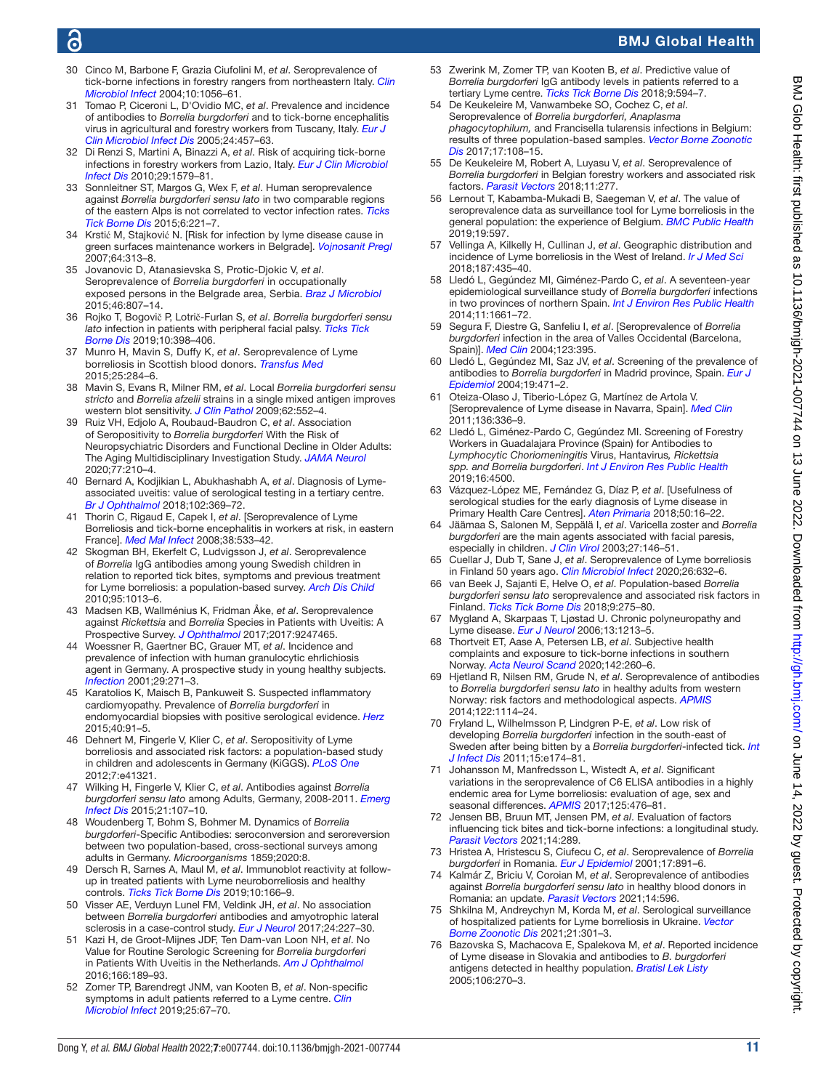# $\overline{C}$

# BMJ Global Health

- 30 Cinco M, Barbone F, Grazia Ciufolini M, *et al*. Seroprevalence of tick-borne infections in forestry rangers from northeastern Italy. *[Clin](http://dx.doi.org/10.1111/j.1469-0691.2004.01026.x)  [Microbiol Infect](http://dx.doi.org/10.1111/j.1469-0691.2004.01026.x)* 2004;10:1056–61.
- 31 Tomao P, Ciceroni L, D'Ovidio MC, *et al*. Prevalence and incidence of antibodies to *Borrelia burgdorferi* and to tick-borne encephalitis virus in agricultural and forestry workers from Tuscany, Italy. *[Eur J](http://dx.doi.org/10.1007/s10096-005-1348-0)  [Clin Microbiol Infect Dis](http://dx.doi.org/10.1007/s10096-005-1348-0)* 2005;24:457–63.
- 32 Di Renzi S, Martini A, Binazzi A, *et al*. Risk of acquiring tick-borne infections in forestry workers from Lazio, Italy. *[Eur J Clin Microbiol](http://dx.doi.org/10.1007/s10096-010-1028-6)  [Infect Dis](http://dx.doi.org/10.1007/s10096-010-1028-6)* 2010;29:1579–81.
- 33 Sonnleitner ST, Margos G, Wex F, *et al*. Human seroprevalence against *Borrelia burgdorferi sensu lato* in two comparable regions of the eastern Alps is not correlated to vector infection rates. *[Ticks](http://dx.doi.org/10.1016/j.ttbdis.2014.12.006)  [Tick Borne Dis](http://dx.doi.org/10.1016/j.ttbdis.2014.12.006)* 2015;6:221–7.
- 34 Krstić M, Stajković N. [Risk for infection by lyme disease cause in green surfaces maintenance workers in Belgrade]. *[Vojnosanit Pregl](http://dx.doi.org/10.2298/vsp0705313k)* 2007;64:313–8.
- 35 Jovanovic D, Atanasievska S, Protic-Djokic V, *et al*. Seroprevalence of *Borrelia burgdorferi* in occupationally exposed persons in the Belgrade area, Serbia. *[Braz J Microbiol](http://dx.doi.org/10.1590/S1517-838246320140698)* 2015;46:807–14.
- 36 Rojko T, Bogovič P, Lotrič-Furlan S, *et al*. *Borrelia burgdorferi sensu lato* infection in patients with peripheral facial palsy. *[Ticks Tick](http://dx.doi.org/10.1016/j.ttbdis.2018.11.019)  [Borne Dis](http://dx.doi.org/10.1016/j.ttbdis.2018.11.019)* 2019;10:398–406.
- 37 Munro H, Mavin S, Duffy K, *et al*. Seroprevalence of Lyme borreliosis in Scottish blood donors. *[Transfus Med](http://dx.doi.org/10.1111/tme.12197)* 2015;25:284–6.
- 38 Mavin S, Evans R, Milner RM, *et al*. Local *Borrelia burgdorferi sensu stricto* and *Borrelia afzelii* strains in a single mixed antigen improves western blot sensitivity. *[J Clin Pathol](http://dx.doi.org/10.1136/jcp.2008.063461)* 2009;62:552–4.
- 39 Ruiz VH, Edjolo A, Roubaud-Baudron C, *et al*. Association of Seropositivity to *Borrelia burgdorferi* With the Risk of Neuropsychiatric Disorders and Functional Decline in Older Adults: The Aging Multidisciplinary Investigation Study. *[JAMA Neurol](http://dx.doi.org/10.1001/jamaneurol.2019.3292)* 2020;77:210–4.
- 40 Bernard A, Kodjikian L, Abukhashabh A, *et al*. Diagnosis of Lymeassociated uveitis: value of serological testing in a tertiary centre. *[Br J Ophthalmol](http://dx.doi.org/10.1136/bjophthalmol-2017-310251)* 2018;102:369–72.
- 41 Thorin C, Rigaud E, Capek I, *et al*. [Seroprevalence of Lyme Borreliosis and tick-borne encephalitis in workers at risk, in eastern France]. *[Med Mal Infect](http://dx.doi.org/10.1016/j.medmal.2008.06.008)* 2008;38:533–42.
- 42 Skogman BH, Ekerfelt C, Ludvigsson J, *et al*. Seroprevalence of *Borrelia* IgG antibodies among young Swedish children in relation to reported tick bites, symptoms and previous treatment for Lyme borreliosis: a population-based survey. *[Arch Dis Child](http://dx.doi.org/10.1136/adc.2010.183624)* 2010;95:1013–6.
- 43 Madsen KB, Wallménius K, Fridman Åke, *et al*. Seroprevalence against *Rickettsia* and *Borrelia* Species in Patients with Uveitis: A Prospective Survey. *[J Ophthalmol](http://dx.doi.org/10.1155/2017/9247465)* 2017;2017:9247465.
- 44 Woessner R, Gaertner BC, Grauer MT, *et al*. Incidence and prevalence of infection with human granulocytic ehrlichiosis agent in Germany. A prospective study in young healthy subjects. *[Infection](http://dx.doi.org/10.1007/s15010-001-2005-x)* 2001;29:271–3.
- 45 Karatolios K, Maisch B, Pankuweit S. Suspected inflammatory cardiomyopathy. Prevalence of *Borrelia burgdorferi* in endomyocardial biopsies with positive serological evidence. *[Herz](http://dx.doi.org/10.1007/s00059-014-4118-x)* 2015;40:91–5.
- 46 Dehnert M, Fingerle V, Klier C, *et al*. Seropositivity of Lyme borreliosis and associated risk factors: a population-based study in children and adolescents in Germany (KiGGS). *[PLoS One](http://dx.doi.org/10.1371/journal.pone.0041321)* 2012;7:e41321.
- 47 Wilking H, Fingerle V, Klier C, *et al*. Antibodies against *Borrelia burgdorferi sensu lato* among Adults, Germany, 2008-2011. *[Emerg](http://dx.doi.org/10.3201/eid2101.140009)  [Infect Dis](http://dx.doi.org/10.3201/eid2101.140009)* 2015;21:107–10.
- 48 Woudenberg T, Bohm S, Bohmer M. Dynamics of *Borrelia burgdorferi*-Specific Antibodies: seroconversion and seroreversion between two population-based, cross-sectional surveys among adults in Germany. *Microorganisms* 1859;2020:8.
- 49 Dersch R, Sarnes A, Maul M, *et al*. Immunoblot reactivity at followup in treated patients with Lyme neuroborreliosis and healthy controls. *[Ticks Tick Borne Dis](http://dx.doi.org/10.1016/j.ttbdis.2018.09.011)* 2019;10:166–9.
- 50 Visser AE, Verduyn Lunel FM, Veldink JH, *et al*. No association between *Borrelia burgdorferi* antibodies and amyotrophic lateral sclerosis in a case-control study. *[Eur J Neurol](http://dx.doi.org/10.1111/ene.13197)* 2017;24:227–30.
- 51 Kazi H, de Groot-Mijnes JDF, Ten Dam-van Loon NH, *et al*. No Value for Routine Serologic Screening for *Borrelia burgdorferi* in Patients With Uveitis in the Netherlands. *[Am J Ophthalmol](http://dx.doi.org/10.1016/j.ajo.2016.04.002)* 2016;166:189–93.
- 52 Zomer TP, Barendregt JNM, van Kooten B, *et al*. Non-specific symptoms in adult patients referred to a Lyme centre. *[Clin](http://dx.doi.org/10.1016/j.cmi.2018.09.016)  [Microbiol Infect](http://dx.doi.org/10.1016/j.cmi.2018.09.016)* 2019;25:67–70.
- 53 Zwerink M, Zomer TP, van Kooten B, *et al*. Predictive value of *Borrelia burgdorferi* IgG antibody levels in patients referred to a tertiary Lyme centre. *[Ticks Tick Borne Dis](http://dx.doi.org/10.1016/j.ttbdis.2017.12.014)* 2018;9:594–7.
- 54 De Keukeleire M, Vanwambeke SO, Cochez C, *et al*. Seroprevalence of *Borrelia burgdorferi, Anaplasma phagocytophilum,* and Francisella tularensis infections in Belgium: results of three population-based samples. *[Vector Borne Zoonotic](http://dx.doi.org/10.1089/vbz.2016.1954)  [Dis](http://dx.doi.org/10.1089/vbz.2016.1954)* 2017;17:108–15.
- 55 De Keukeleire M, Robert A, Luyasu V, *et al*. Seroprevalence of *Borrelia burgdorferi* in Belgian forestry workers and associated risk factors. *[Parasit Vectors](http://dx.doi.org/10.1186/s13071-018-2860-2)* 2018;11:277.
- 56 Lernout T, Kabamba-Mukadi B, Saegeman V, *et al*. The value of seroprevalence data as surveillance tool for Lyme borreliosis in the general population: the experience of Belgium. *[BMC Public Health](http://dx.doi.org/10.1186/s12889-019-6914-y)* 2019;19:597.
- 57 Vellinga A, Kilkelly H, Cullinan J, *et al*. Geographic distribution and incidence of Lyme borreliosis in the West of Ireland. *[Ir J Med Sci](http://dx.doi.org/10.1007/s11845-017-1700-2)* 2018;187:435–40.
- 58 Lledó L, Gegúndez MI, Giménez-Pardo C, *et al*. A seventeen-year epidemiological surveillance study of *Borrelia burgdorferi* infections in two provinces of northern Spain. *[Int J Environ Res Public Health](http://dx.doi.org/10.3390/ijerph110201661)* 2014;11:1661–72.
- 59 Segura F, Diestre G, Sanfeliu I, *et al*. [Seroprevalence of *Borrelia burgdorferi* infection in the area of Valles Occidental (Barcelona, Spain)]. *[Med Clin](http://dx.doi.org/10.1016/s0025-7753(04)74527-3)* 2004;123:395.
- 60 Lledó L, Gegúndez MI, Saz JV, *et al*. Screening of the prevalence of antibodies to *Borrelia burgdorferi* in Madrid province, Spain. *[Eur J](http://dx.doi.org/10.1023/b:ejep.0000027349.48337.cb)  [Epidemiol](http://dx.doi.org/10.1023/b:ejep.0000027349.48337.cb)* 2004;19:471–2.
- 61 Oteiza-Olaso J, Tiberio-López G, Martínez de Artola V. [Seroprevalence of Lyme disease in Navarra, Spain]. *[Med Clin](http://dx.doi.org/10.1016/j.medcli.2010.06.008)* 2011;136:336–9.
- 62 Lledó L, Giménez-Pardo C, Gegúndez MI. Screening of Forestry Workers in Guadalajara Province (Spain) for Antibodies to *Lymphocytic Choriomeningitis* Virus, Hantavirus*, Rickettsia spp. and Borrelia burgdorferi*. *[Int J Environ Res Public Health](http://dx.doi.org/10.3390/ijerph16224500)* 2019;16:4500.
- 63 Vázquez-López ME, Fernández G, Díaz P, *et al*. [Usefulness of serological studies for the early diagnosis of Lyme disease in Primary Health Care Centres]. *[Aten Primaria](http://dx.doi.org/10.1016/j.aprim.2017.01.008)* 2018;50:16–22.
- 64 Jäämaa S, Salonen M, Seppälä I, *et al*. Varicella zoster and *Borrelia burgdorferi* are the main agents associated with facial paresis, especially in children. *[J Clin Virol](http://dx.doi.org/10.1016/s1386-6532(02)00169-5)* 2003;27:146–51.
- 65 Cuellar J, Dub T, Sane J, *et al*. Seroprevalence of Lyme borreliosis in Finland 50 years ago. *[Clin Microbiol Infect](http://dx.doi.org/10.1016/j.cmi.2019.10.003)* 2020;26:632–6.
- 66 van Beek J, Sajanti E, Helve O, *et al*. Population-based *Borrelia burgdorferi sensu lato* seroprevalence and associated risk factors in Finland. *[Ticks Tick Borne Dis](http://dx.doi.org/10.1016/j.ttbdis.2017.10.018)* 2018;9:275–80.
- 67 Mygland A, Skarpaas T, Ljøstad U. Chronic polyneuropathy and Lyme disease. *[Eur J Neurol](http://dx.doi.org/10.1111/j.1468-1331.2006.01395.x)* 2006;13:1213–5.
- 68 Thortveit ET, Aase A, Petersen LB, *et al*. Subjective health complaints and exposure to tick-borne infections in southern Norway. *[Acta Neurol Scand](http://dx.doi.org/10.1111/ane.13263)* 2020;142:260–6.
- 69 Hjetland R, Nilsen RM, Grude N, *et al*. Seroprevalence of antibodies to *Borrelia burgdorferi sensu lato* in healthy adults from western Norway: risk factors and methodological aspects. *[APMIS](http://dx.doi.org/10.1111/apm.12267)* 2014;122:1114–24.
- 70 Fryland L, Wilhelmsson P, Lindgren P-E, *et al*. Low risk of developing *Borrelia burgdorferi* infection in the south-east of Sweden after being bitten by a *Borrelia burgdorferi*-infected tick. *[Int](http://dx.doi.org/10.1016/j.ijid.2010.10.006) [J Infect Dis](http://dx.doi.org/10.1016/j.ijid.2010.10.006)* 2011;15:e174–81.
- 71 Johansson M, Manfredsson L, Wistedt A, *et al*. Significant variations in the seroprevalence of C6 ELISA antibodies in a highly endemic area for Lyme borreliosis: evaluation of age, sex and seasonal differences. *[APMIS](http://dx.doi.org/10.1111/apm.12664)* 2017;125:476–81.
- 72 Jensen BB, Bruun MT, Jensen PM, *et al*. Evaluation of factors influencing tick bites and tick-borne infections: a longitudinal study. *[Parasit Vectors](http://dx.doi.org/10.1186/s13071-021-04751-0)* 2021;14:289.
- 73 Hristea A, Hristescu S, Ciufecu C, *et al*. Seroprevalence of *Borrelia burgdorferi* in Romania. *[Eur J Epidemiol](http://dx.doi.org/10.1023/a:1015600729900)* 2001;17:891–6.
- 74 Kalmár Z, Briciu V, Coroian M, *et al*. Seroprevalence of antibodies against *Borrelia burgdorferi sensu lato* in healthy blood donors in Romania: an update. *[Parasit Vectors](http://dx.doi.org/10.1186/s13071-021-05099-1)* 2021;14:596.
- 75 Shkilna M, Andreychyn M, Korda M, *et al*. Serological surveillance of hospitalized patients for Lyme borreliosis in Ukraine. *[Vector](http://dx.doi.org/10.1089/vbz.2020.2715)  [Borne Zoonotic Dis](http://dx.doi.org/10.1089/vbz.2020.2715)* 2021;21:301–3.
- 76 Bazovska S, Machacova E, Spalekova M, *et al*. Reported incidence of Lyme disease in Slovakia and antibodies to *B. burgdorferi* antigens detected in healthy population. *[Bratisl Lek Listy](http://www.ncbi.nlm.nih.gov/pubmed/16457044)* 2005;106:270–3.